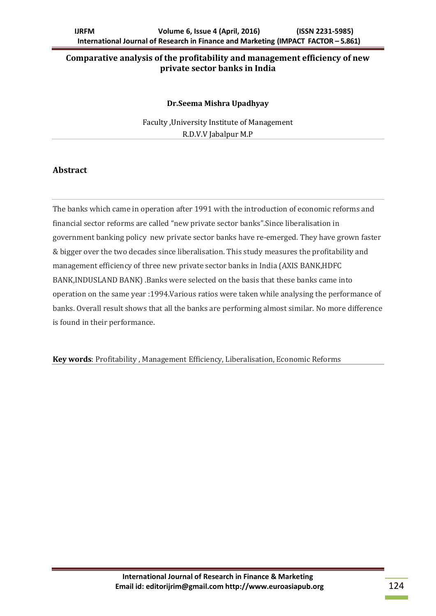# **Comparative analysis of the profitability and management efficiency of new private sector banks in India**

#### **Dr.Seema Mishra Upadhyay**

Faculty ,University Institute of Management R.D.V.V Jabalpur M.P

#### **Abstract**

The banks which came in operation after 1991 with the introduction of economic reforms and financial sector reforms are called "new private sector banks".Since liberalisation in government banking policy new private sector banks have re-emerged. They have grown faster & bigger over the two decades since liberalisation. This study measures the profitability and management efficiency of three new private sector banks in India (AXIS BANK,HDFC BANK,INDUSLAND BANK) .Banks were selected on the basis that these banks came into operation on the same year :1994.Various ratios were taken while analysing the performance of banks. Overall result shows that all the banks are performing almost similar. No more difference is found in their performance.

**Key words**: Profitability , Management Efficiency, Liberalisation, Economic Reforms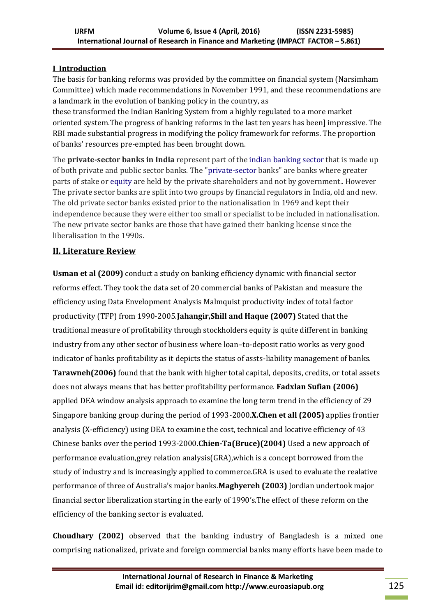# **I Introduction**

The basis for banking reforms was provided by the committee on financial system (Narsimham Committee) which made recommendations in November 1991, and these recommendations are a landmark in the evolution of banking policy in the country, as

these transformed the Indian Banking System from a highly regulated to a more market oriented system.The progress of banking reforms in the last ten years has been] impressive. The RBI made substantial progress in modifying the policy framework for reforms. The proportion of banks' resources pre-empted has been brought down.

The **private-sector banks in India** represent part of the [indian banking sector](https://en.wikipedia.org/wiki/Banking_in_india) that is made up of both private and public sector banks. The ["private-sector](https://en.wikipedia.org/wiki/Private_sector) banks" are banks where greater parts of stake or [equity](https://en.wikipedia.org/wiki/Equity_(finance)) are held by the private shareholders and not by government.. However The private sector banks are split into two groups by financial regulators in India, old and new. The old private sector banks existed prior to the nationalisation in 1969 and kept their independence because they were either too small or specialist to be included in nationalisation. The new private sector banks are those that have gained their banking license since the liberalisation in the 1990s.

# **II. Literature Review**

**Usman et al (2009)** conduct a study on banking efficiency dynamic with financial sector reforms effect. They took the data set of 20 commercial banks of Pakistan and measure the efficiency using Data Envelopment Analysis Malmquist productivity index of total factor productivity (TFP) from 1990-2005.**Jahangir,Shill and Haque (2007)** Stated that the traditional measure of profitability through stockholders equity is quite different in banking industry from any other sector of business where loan–to-deposit ratio works as very good indicator of banks profitability as it depicts the status of assts-liability management of banks. **Tarawneh(2006)** found that the bank with higher total capital, deposits, credits, or total assets does not always means that has better profitability performance. **Fadxlan Sufian (2006)** applied DEA window analysis approach to examine the long term trend in the efficiency of 29 Singapore banking group during the period of 1993-2000.**X.Chen et all (2005)** applies frontier analysis (X-efficiency) using DEA to examine the cost, technical and locative efficiency of 43 Chinese banks over the period 1993-2000.**Chien-Ta(Bruce)(2004)** Used a new approach of performance evaluation,grey relation analysis(GRA),which is a concept borrowed from the study of industry and is increasingly applied to commerce.GRA is used to evaluate the realative performance of three of Australia's major banks.**Maghyereh (2003)** Jordian undertook major financial sector liberalization starting in the early of 1990's.The effect of these reform on the efficiency of the banking sector is evaluated.

**Choudhary (2002)** observed that the banking industry of Bangladesh is a mixed one comprising nationalized, private and foreign commercial banks many efforts have been made to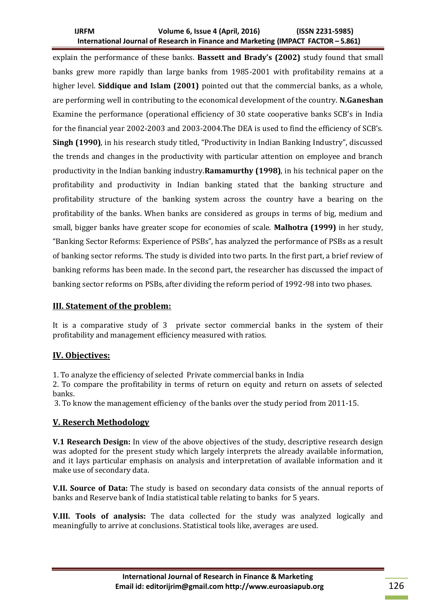#### **IJRFM Volume 6, Issue 4 (April, 2016) (ISSN 2231-5985) International Journal of Research in Finance and Marketing (IMPACT FACTOR – 5.861)**

explain the performance of these banks. **Bassett and Brady's (2002)** study found that small banks grew more rapidly than large banks from 1985-2001 with profitability remains at a higher level. **Siddique and Islam (2001)** pointed out that the commercial banks, as a whole, are performing well in contributing to the economical development of the country. **N.Ganeshan** Examine the performance (operational efficiency of 30 state cooperative banks SCB's in India for the financial year 2002-2003 and 2003-2004.The DEA is used to find the efficiency of SCB's. **Singh (1990)**, in his research study titled, "Productivity in Indian Banking Industry", discussed the trends and changes in the productivity with particular attention on employee and branch productivity in the Indian banking industry.**Ramamurthy (1998)**, in his technical paper on the profitability and productivity in Indian banking stated that the banking structure and profitability structure of the banking system across the country have a bearing on the profitability of the banks. When banks are considered as groups in terms of big, medium and small, bigger banks have greater scope for economies of scale. **Malhotra (1999)** in her study, "Banking Sector Reforms: Experience of PSBs", has analyzed the performance of PSBs as a result of banking sector reforms. The study is divided into two parts. In the first part, a brief review of banking reforms has been made. In the second part, the researcher has discussed the impact of banking sector reforms on PSBs, after dividing the reform period of 1992-98 into two phases.

### **III. Statement of the problem:**

It is a comparative study of 3 private sector commercial banks in the system of their profitability and management efficiency measured with ratios.

### **IV. Objectives:**

1. To analyze the efficiency of selected Private commercial banks in India

2. To compare the profitability in terms of return on equity and return on assets of selected banks.

3. To know the management efficiency of the banks over the study period from 2011-15.

### **V. Reserch Methodology**

**V.1 Research Design:** In view of the above objectives of the study, descriptive research design was adopted for the present study which largely interprets the already available information, and it lays particular emphasis on analysis and interpretation of available information and it make use of secondary data.

**V.II. Source of Data:** The study is based on secondary data consists of the annual reports of banks and Reserve bank of India statistical table relating to banks for 5 years.

**V.III. Tools of analysis:** The data collected for the study was analyzed logically and meaningfully to arrive at conclusions. Statistical tools like, averages are used.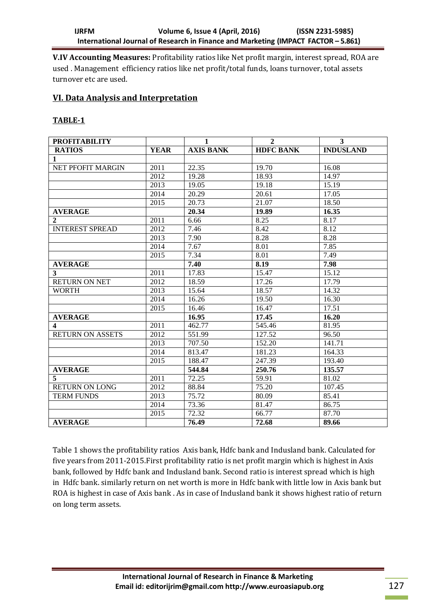**V.IV Accounting Measures:** Profitability ratios like Net profit margin, interest spread, ROA are used . Management efficiency ratios like net profit/total funds, loans turnover, total assets turnover etc are used.

### **VI. Data Analysis and Interpretation**

#### **TABLE-1**

| <b>PROFITABILITY</b>     |             | $\mathbf{1}$     | $\overline{2}$   | $\mathbf{3}$       |
|--------------------------|-------------|------------------|------------------|--------------------|
| <b>RATIOS</b>            | <b>YEAR</b> | <b>AXIS BANK</b> | <b>HDFC BANK</b> | <b>INDUSLAND</b>   |
| $\mathbf{1}$             |             |                  |                  |                    |
| <b>NET PFOFIT MARGIN</b> | 2011        | 22.35            | 19.70            | 16.08              |
|                          | 2012        | 19.28            | 18.93            | 14.97              |
|                          | 2013        | 19.05            | 19.18            | 15.19              |
|                          | 2014        | 20.29            | 20.61            | 17.05              |
|                          | 2015        | 20.73            | 21.07            | 18.50              |
| <b>AVERAGE</b>           |             | 20.34            | 19.89            | 16.35              |
| $\overline{2}$           | 2011        | 6.66             | 8.25             | 8.17               |
| <b>INTEREST SPREAD</b>   | 2012        | 7.46             | 8.42             | 8.12               |
|                          | 2013        | 7.90             | 8.28             | 8.28               |
|                          | 2014        | 7.67             | 8.01             | 7.85               |
|                          | 2015        | 7.34             | 8.01             | 7.49               |
| <b>AVERAGE</b>           |             | 7.40             | 8.19             | 7.98               |
| 3                        | 2011        | 17.83            | 15.47            | 15.12              |
| <b>RETURN ON NET</b>     | 2012        | 18.59            | 17.26            | $\overline{17.79}$ |
| <b>WORTH</b>             | 2013        | 15.64            | 18.57            | 14.32              |
|                          | 2014        | 16.26            | 19.50            | 16.30              |
|                          | 2015        | 16.46            | 16.47            | 17.51              |
| <b>AVERAGE</b>           |             | 16.95            | 17.45            | 16.20              |
| $\boldsymbol{4}$         | 2011        | 462.77           | 545.46           | 81.95              |
| <b>RETURN ON ASSETS</b>  | 2012        | 551.99           | 127.52           | 96.50              |
|                          | 2013        | 707.50           | 152.20           | 141.71             |
|                          | 2014        | 813.47           | 181.23           | 164.33             |
|                          | 2015        | 188.47           | 247.39           | 193.40             |
| <b>AVERAGE</b>           |             | 544.84           | 250.76           | 135.57             |
| 5                        | 2011        | 72.25            | 59.91            | 81.02              |
| <b>RETURN ON LONG</b>    | 2012        | 88.84            | 75.20            | 107.45             |
| <b>TERM FUNDS</b>        | 2013        | 75.72            | 80.09            | 85.41              |
|                          | 2014        | 73.36            | 81.47            | 86.75              |
|                          | 2015        | 72.32            | 66.77            | 87.70              |
| <b>AVERAGE</b>           |             | 76.49            | 72.68            | 89.66              |

Table 1 shows the profitability ratios Axis bank, Hdfc bank and Indusland bank. Calculated for five years from 2011-2015.First profitability ratio is net profit margin which is highest in Axis bank, followed by Hdfc bank and Indusland bank. Second ratio is interest spread which is high in Hdfc bank. similarly return on net worth is more in Hdfc bank with little low in Axis bank but ROA is highest in case of Axis bank . As in case of Indusland bank it shows highest ratio of return on long term assets.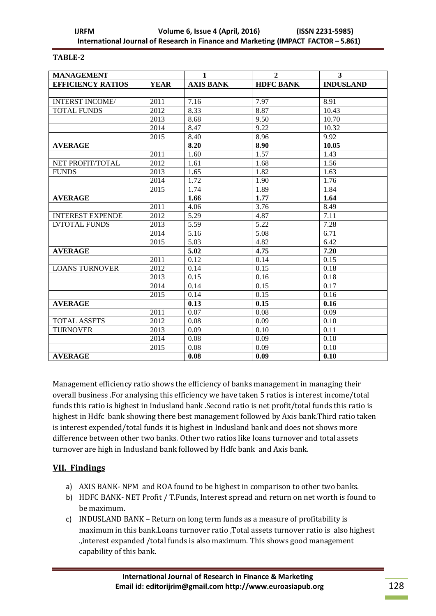#### **TABLE-2**

| <b>MANAGEMENT</b>        |             | 1                 | $\mathbf{2}$     | 3                |
|--------------------------|-------------|-------------------|------------------|------------------|
| <b>EFFICIENCY RATIOS</b> | <b>YEAR</b> | <b>AXIS BANK</b>  | <b>HDFC BANK</b> | <b>INDUSLAND</b> |
|                          |             |                   |                  |                  |
| <b>INTERST INCOME/</b>   | 2011        | 7.16              | 7.97             | 8.91             |
| <b>TOTAL FUNDS</b>       | 2012        | 8.33              | 8.87             | 10.43            |
|                          | 2013        | 8.68              | 9.50             | 10.70            |
|                          | 2014        | 8.47              | 9.22             | 10.32            |
|                          | 2015        | 8.40              | 8.96             | 9.92             |
| <b>AVERAGE</b>           |             | 8.20              | 8.90             | 10.05            |
|                          | 2011        | 1.60              | 1.57             | 1.43             |
| NET PROFIT/TOTAL         | 2012        | 1.61              | 1.68             | 1.56             |
| <b>FUNDS</b>             | 2013        | 1.65              | 1.82             | 1.63             |
|                          | 2014        | 1.72              | 1.90             | 1.76             |
|                          | 2015        | 1.74              | 1.89             | 1.84             |
| <b>AVERAGE</b>           |             | 1.66              | 1.77             | 1.64             |
|                          | 2011        | 4.06              | 3.76             | 8.49             |
| <b>INTEREST EXPENDE</b>  | 2012        | 5.29              | 4.87             | 7.11             |
| <b>D/TOTAL FUNDS</b>     | 2013        | $\overline{5.59}$ | 5.22             | 7.28             |
|                          | 2014        | 5.16              | 5.08             | 6.71             |
|                          | 2015        | 5.03              | 4.82             | 6.42             |
| <b>AVERAGE</b>           |             | 5.02              | 4.75             | 7.20             |
|                          | 2011        | 0.12              | 0.14             | 0.15             |
| <b>LOANS TURNOVER</b>    | 2012        | 0.14              | 0.15             | 0.18             |
|                          | 2013        | 0.15              | 0.16             | 0.18             |
|                          | 2014        | 0.14              | 0.15             | 0.17             |
|                          | 2015        | 0.14              | 0.15             | 0.16             |
| <b>AVERAGE</b>           |             | 0.13              | 0.15             | 0.16             |
|                          | 2011        | 0.07              | 0.08             | 0.09             |
| <b>TOTAL ASSETS</b>      | 2012        | 0.08              | 0.09             | 0.10             |
| <b>TURNOVER</b>          | 2013        | 0.09              | 0.10             | 0.11             |
|                          | 2014        | 0.08              | 0.09             | 0.10             |
|                          | 2015        | 0.08              | 0.09             | 0.10             |
| <b>AVERAGE</b>           |             | 0.08              | 0.09             | 0.10             |

Management efficiency ratio shows the efficiency of banks management in managing their overall business .For analysing this efficiency we have taken 5 ratios is interest income/total funds this ratio is highest in Indusland bank .Second ratio is net profit/total funds this ratio is highest in Hdfc bank showing there best management followed by Axis bank.Third ratio taken is interest expended/total funds it is highest in Indusland bank and does not shows more difference between other two banks. Other two ratios like loans turnover and total assets turnover are high in Indusland bank followed by Hdfc bank and Axis bank.

# **VII. Findings**

- a) AXIS BANK- NPM and ROA found to be highest in comparison to other two banks.
- b) HDFC BANK- NET Profit / T.Funds, Interest spread and return on net worth is found to be maximum.
- c) INDUSLAND BANK Return on long term funds as a measure of profitability is maximum in this bank.Loans turnover ratio ,Total assets turnover ratio is also highest .,interest expanded /total funds is also maximum. This shows good management capability of this bank.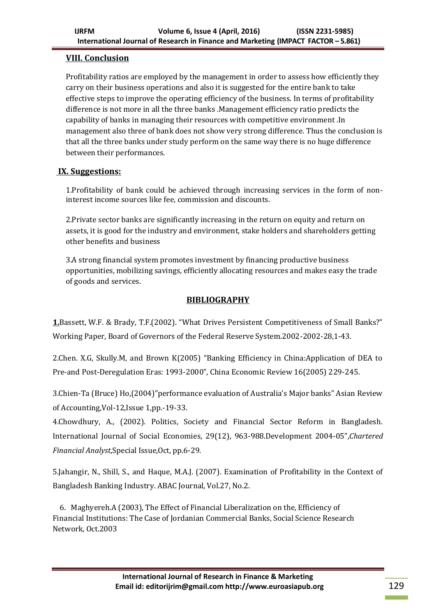# **VIII. Conclusion**

Profitability ratios are employed by the management in order to assess how efficiently they carry on their business operations and also it is suggested for the entire bank to take effective steps to improve the operating efficiency of the business. In terms of profitability difference is not more in all the three banks .Management efficiency ratio predicts the capability of banks in managing their resources with competitive environment .In management also three of bank does not show very strong difference. Thus the conclusion is that all the three banks under study perform on the same way there is no huge difference between their performances.

# **IX. Suggestions:**

1.Profitability of bank could be achieved through increasing services in the form of noninterest income sources like fee, commission and discounts.

2.Private sector banks are significantly increasing in the return on equity and return on assets, it is good for the industry and environment, stake holders and shareholders getting other benefits and business

3.A strong financial system promotes investment by financing productive business opportunities, mobilizing savings, efficiently allocating resources and makes easy the trade of goods and services.

# **BIBLIOGRAPHY**

**1.**Bassett, W.F. & Brady, T.F.(2002). "What Drives Persistent Competitiveness of Small Banks?" Working Paper, Board of Governors of the Federal Reserve System.2002-2002-28,1-43.

2.Chen. X.G, Skully.M, and Brown K(2005) "Banking Efficiency in China:Application of DEA to Pre-and Post-Deregulation Eras: 1993-2000", China Economic Review 16(2005) 229-245.

3.Chien-Ta (Bruce) Ho,(2004)"performance evaluation of Australia's Major banks" Asian Review of Accounting,Vol-12,Issue 1,pp.-19-33.

4.Chowdhury, A., (2002). Politics, Society and Financial Sector Reform in Bangladesh. International Journal of Social Economies, 29(12), 963-988.Development 2004-05",*Chartered Financial Analyst*,Special Issue,Oct, pp.6-29.

5.Jahangir, N., Shill, S., and Haque, M.A.J. (2007). Examination of Profitability in the Context of Bangladesh Banking Industry. ABAC Journal, Vol.27, No.2.

 6. Maghyereh.A (2003), The Effect of Financial Liberalization on the, Efficiency of Financial Institutions: The Case of Jordanian Commercial Banks, Social Science Research Network, Oct.2003